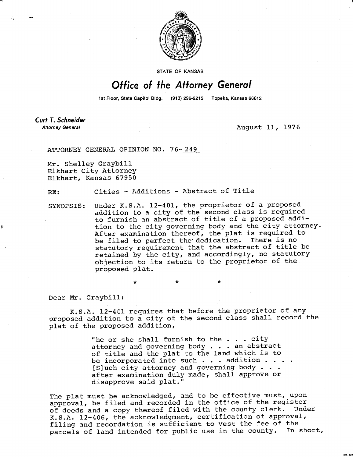

**STATE OF KANSAS** 

## Office of the Attorney General

1st Floor, State Capitol Bldg. (913) 296-2215 Topeka, Kansas 66612

Curt T. Schneider **Attorney General** 

August 11, 1976

**MI-104** 

ATTORNEY GENERAL OPINION NO. 76-249

\*

Mr. Shelley Graybill Elkhart City Attorney Elkhart, Kansas 67950

RE: Cities - Additions - Abstract of Title

SYNOPSIS: Under K.S.A. 12-401, the proprietor of a proposed addition to a city of the second class is required to furnish an abstract of title of a proposed addition to the city governing body and the city attorney. After examination thereof, the plat is required to be filed to perfect the' dedication. There is no statutory requirement that the abstract of title be retained by the city, and accordingly, no statutory objection to its return to the proprietor of the proposed plat.

Dear Mr. Graybill:

K.S.A. 12-401 requires that before the proprietor of any proposed addition to a city of the second class shall record the plat of the proposed addition,

> "he or she shall furnish to the  $\ldots$  city attorney and governing body . . . an abstract of title and the plat to the land which is to be incorporated into such . . . addition . . . . [S]uch city attorney and governing body . . . after examination duly made, shall approve or disapprove said plat."

The plat must be acknowledged, and to be effective must, upon approval, be filed and recorded in the office of the register of deeds and a copy thereof filed with the county clerk. Under K.S.A. 12-406, the acknowledgment, certification of approval, filing and recordation is sufficient to vest the fee of the parcels of land intended for public use in the county. In short,